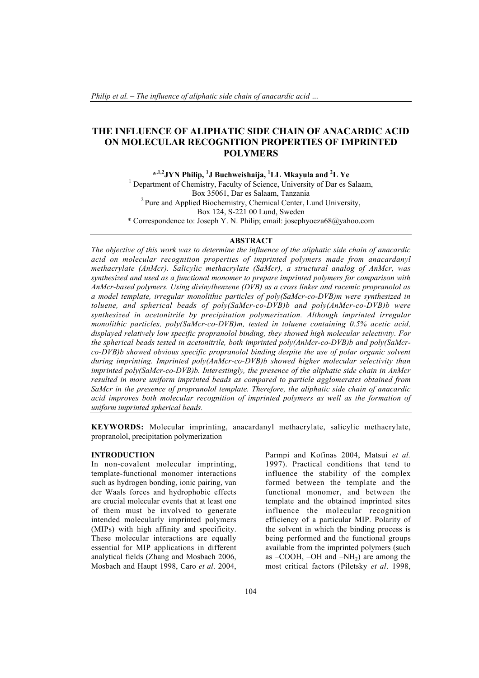# THE INFLUENCE OF ALIPHATIC SIDE CHAIN OF ANACARDIC ACID ON MOLECULAR RECOGNITION PROPERTIES OF IMPRINTED POLYMERS

<sup>\*,1,2</sup>JYN Philip, <sup>1</sup>J Buchweishaija, <sup>1</sup>LL Mkayula and <sup>2</sup>L Ye <sup>1</sup> Department of Chemistry, Faculty of Science, University of Dar es Salaam, Box 35061, Dar es Salaam, Tanzania 2 Pure and Applied Biochemistry, Chemical Center, Lund University, Box 124, S-221 00 Lund, Sweden \* Correspondence to: Joseph Y. N. Philip; email: josephyoeza68@yahoo.com

## ABSTRACT

*The objective of this work was to determine the influence of the aliphatic side chain of anacardic acid on molecular recognition properties of imprinted polymers made from anacardanyl methacrylate (AnMcr). Salicylic methacrylate (SaMcr), a structural analog of AnMcr, was synthesized and used as a functional monomer to prepare imprinted polymers for comparison with AnMcr-based polymers. Using divinylbenzene (DVB) as a cross linker and racemic propranolol as a model template, irregular monolithic particles of poly(SaMcr-co-DVB)m were synthesized in toluene, and spherical beads of poly(SaMcr-co-DVB)b and poly(AnMcr-co-DVB)b were synthesized in acetonitrile by precipitation polymerization. Although imprinted irregular monolithic particles, poly(SaMcr-co-DVB)m, tested in toluene containing 0.5% acetic acid, displayed relatively low specific propranolol binding, they showed high molecular selectivity. For the spherical beads tested in acetonitrile, both imprinted poly(AnMcr-co-DVB)b and poly(SaMcrco-DVB)b showed obvious specific propranolol binding despite the use of polar organic solvent during imprinting. Imprinted poly(AnMcr-co-DVB)b showed higher molecular selectivity than imprinted poly(SaMcr-co-DVB)b. Interestingly, the presence of the aliphatic side chain in AnMcr resulted in more uniform imprinted beads as compared to particle agglomerates obtained from SaMcr in the presence of propranolol template. Therefore, the aliphatic side chain of anacardic acid improves both molecular recognition of imprinted polymers as well as the formation of uniform imprinted spherical beads.*

KEYWORDS: Molecular imprinting, anacardanyl methacrylate, salicylic methacrylate, propranolol, precipitation polymerization

## INTRODUCTION

In non-covalent molecular imprinting, template-functional monomer interactions such as hydrogen bonding, ionic pairing, van der Waals forces and hydrophobic effects are crucial molecular events that at least one of them must be involved to generate intended molecularly imprinted polymers (MIPs) with high affinity and specificity. These molecular interactions are equally essential for MIP applications in different analytical fields (Zhang and Mosbach 2006, Mosbach and Haupt 1998, Caro *et al*. 2004,

Parmpi and Kofinas 2004, Matsui *et al.* 1997). Practical conditions that tend to influence the stability of the complex formed between the template and the functional monomer, and between the template and the obtained imprinted sites influence the molecular recognition efficiency of a particular MIP. Polarity of the solvent in which the binding process is being performed and the functional groups available from the imprinted polymers (such as –COOH, –OH and –NH2) are among the most critical factors (Piletsky *et al*. 1998,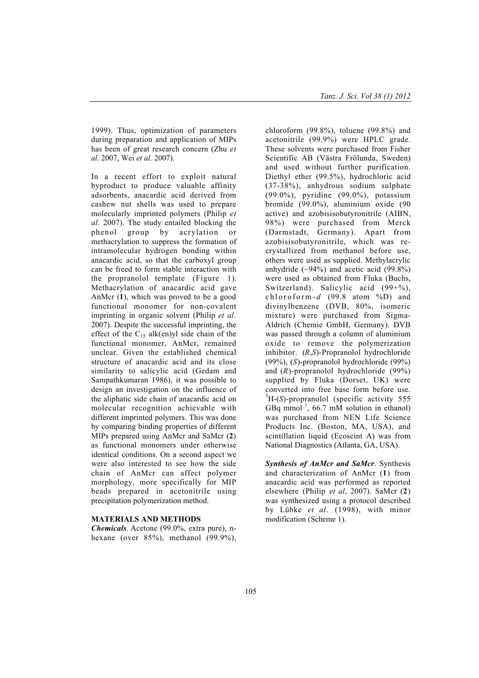1999). Thus, optimization of parameters during preparation and application of MIPs has been of great research concern (Zhu *et al*. 2007, Wei *et al*. 2007).

In a recent effort to exploit natural byproduct to produce valuable affinity adsorbents, anacardic acid derived from cashew nut shells was used to prepare molecularly imprinted polymers (Philip *et al*. 2007). The study entailed blocking the phenol group by acrylation or methacrylation to suppress the formation of intramolecular hydrogen bonding within anacardic acid, so that the carboxyl group can be freed to form stable interaction with the propranolol template (Figure 1). Methacrylation of anacardic acid gave AnMcr (1), which was proved to be a good functional monomer for non-covalent imprinting in organic solvent (Philip *et al*. 2007). Despite the successful imprinting, the effect of the  $C_{15}$  alk(en)yl side chain of the functional monomer, AnMcr, remained unclear. Given the established chemical structure of anacardic acid and its close similarity to salicylic acid (Gedam and Sampathkumaran 1986), it was possible to design an investigation on the influence of the aliphatic side chain of anacardic acid on molecular recognition achievable with different imprinted polymers. This was done by comparing binding properties of different MIPs prepared using AnMcr and SaMcr (2) as functional monomers under otherwise identical conditions. On a second aspect we were also interested to see how the side chain of AnMcr can affect polymer morphology, more specifically for MIP beads prepared in acetonitrile using precipitation polymerization method.

### MATERIALS AND METHODS

*Chemicals.* Acetone (99.0%, extra pure), nhexane (over 85%), methanol (99.9%),

chloroform (99.8%), toluene (99.8%) and acetonitrile (99.9%) were HPLC grade. These solvents were purchased from Fisher Scientific AB (Västra Frölunda, Sweden) and used without further purification. Diethyl ether (99.5%), hydrochloric acid (37-38%), anhydrous sodium sulphate (99.0%), pyridine (99.0%), potassium bromide (99.0%), aluminium oxide (90 active) and azobisisobutyronitrile (AIBN, 98%) were purchased from Merck (Darmstadt, Germany). Apart from azobisisobutyronitrile, which was recrystallized from methanol before use, others were used as supplied. Methylacrylic anhydride  $(-94\%)$  and acetic acid  $(99.8\%)$ were used as obtained from Fluka (Buchs, Switzerland). Salicylic acid (99+%), chloroform- $d$  (99.8 atom %D) and divinylbenzene (DVB, 80%, isomeric mixture) were purchased from Sigma-Aldrich (Chemie GmbH, Germany). DVB was passed through a column of aluminium oxide to remove the polymerization inhibitor. (*R*,*S*)-Propranolol hydrochloride (99%), (*S*)-propranolol hydrochloride (99%) and (*R*)-propranolol hydrochloride (99%) supplied by Fluka (Dorset, UK) were converted into free base form before use. H-(*S*)-propranolol (specific activity 555 GBq mmol<sup>-1</sup>, 66.7 mM solution in ethanol) was purchased from NEN Life Science Products Inc. (Boston, MA, USA), and scintillation liquid (Ecoscint A) was from National Diagnostics (Atlanta, GA, USA).

*Synthesis of AnMcr and SaMcr*. Synthesis and characterization of AnMcr (1) from anacardic acid was performed as reported elsewhere (Philip *et al*, 2007). SaMcr (2) was synthesized using a protocol described by Lübke *et al*. (1998), with minor modification (Scheme 1).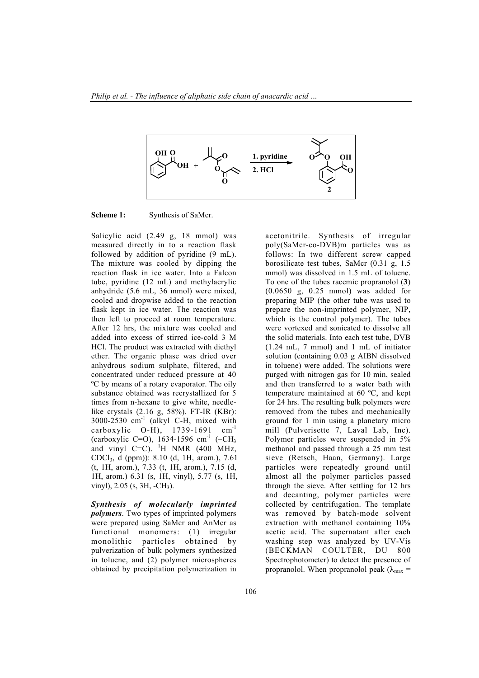

Scheme 1: Synthesis of SaMcr.

Salicylic acid (2.49 g, 18 mmol) was measured directly in to a reaction flask followed by addition of pyridine (9 mL). The mixture was cooled by dipping the reaction flask in ice water. Into a Falcon tube, pyridine (12 mL) and methylacrylic anhydride (5.6 mL, 36 mmol) were mixed, cooled and dropwise added to the reaction flask kept in ice water. The reaction was then left to proceed at room temperature. After 12 hrs, the mixture was cooled and added into excess of stirred ice-cold 3 M HCl. The product was extracted with diethyl ether. The organic phase was dried over anhydrous sodium sulphate, filtered, and concentrated under reduced pressure at 40 ºC by means of a rotary evaporator. The oily substance obtained was recrystallized for 5 times from n-hexane to give white, needlelike crystals (2.16 g, 58%). FT-IR (KBr):  $3000-2530$  cm<sup>-1</sup> (alkyl C-H, mixed with carboxylic  $O-H$ ), 1739-1691 cm<sup>-1</sup> (carboxylic C=O),  $1634-1596$  cm<sup>-1</sup> (-CH<sub>3</sub> and vinyl  $C=C$ ). <sup>1</sup>H NMR (400 MHz, CDCl3, d (ppm)): 8.10 (d, 1H, arom.), 7.61 (t, 1H, arom.), 7.33 (t, 1H, arom.), 7.15 (d, 1H, arom.) 6.31 (s, 1H, vinyl), 5.77 (s, 1H, vinyl), 2.05 (s, 3H, -CH3).

*Synthesis of molecularly imprinted polymers*. Two types of imprinted polymers were prepared using SaMcr and AnMcr as functional monomers: (1) irregular monolithic particles obtained by pulverization of bulk polymers synthesized in toluene, and (2) polymer microspheres obtained by precipitation polymerization in

acetonitrile. Synthesis of irregular poly(SaMcr-co-DVB)m particles was as follows: In two different screw capped borosilicate test tubes, SaMcr (0.31 g, 1.5 mmol) was dissolved in 1.5 mL of toluene. To one of the tubes racemic propranolol (3) (0.0650 g, 0.25 mmol) was added for preparing MIP (the other tube was used to prepare the non-imprinted polymer, NIP, which is the control polymer). The tubes were vortexed and sonicated to dissolve all the solid materials. Into each test tube, DVB (1.24 mL, 7 mmol) and 1 mL of initiator solution (containing 0.03 g AIBN dissolved in toluene) were added. The solutions were purged with nitrogen gas for 10 min, sealed and then transferred to a water bath with temperature maintained at 60 ºC, and kept for 24 hrs. The resulting bulk polymers were removed from the tubes and mechanically ground for 1 min using a planetary micro mill (Pulverisette 7, Laval Lab, Inc). Polymer particles were suspended in 5% methanol and passed through a 25 mm test sieve (Retsch, Haan, Germany). Large particles were repeatedly ground until almost all the polymer particles passed through the sieve. After settling for 12 hrs and decanting, polymer particles were collected by centrifugation. The template was removed by batch-mode solvent extraction with methanol containing 10% acetic acid. The supernatant after each washing step was analyzed by UV-Vis (BECKMAN COULTER, DU 800 Spectrophotometer) to detect the presence of propranolol. When propranolol peak  $(\lambda_{\text{max}} =$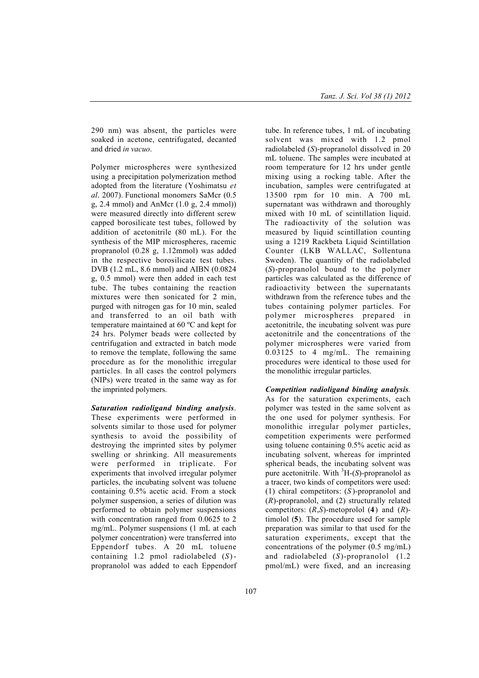290 nm) was absent, the particles were soaked in acetone, centrifugated, decanted and dried *in vacuo*.

Polymer microspheres were synthesized using a precipitation polymerization method adopted from the literature (Yoshimatsu *et al*. 2007). Functional monomers SaMcr (0.5 g, 2.4 mmol) and AnMcr (1.0 g, 2.4 mmol)) were measured directly into different screw capped borosilicate test tubes, followed by addition of acetonitrile (80 mL). For the synthesis of the MIP microspheres, racemic propranolol (0.28 g, 1.12mmol) was added in the respective borosilicate test tubes. DVB (1.2 mL, 8.6 mmol) and AIBN (0.0824 g, 0.5 mmol) were then added in each test tube. The tubes containing the reaction mixtures were then sonicated for 2 min, purged with nitrogen gas for 10 min, sealed and transferred to an oil bath with temperature maintained at 60 ºC and kept for 24 hrs. Polymer beads were collected by centrifugation and extracted in batch mode to remove the template, following the same procedure as for the monolithic irregular particles*.* In all cases the control polymers (NIPs) were treated in the same way as for the imprinted polymers.

*Saturation radioligand binding analysis*. These experiments were performed in solvents similar to those used for polymer synthesis to avoid the possibility of destroying the imprinted sites by polymer swelling or shrinking. All measurements were performed in triplicate. For experiments that involved irregular polymer particles, the incubating solvent was toluene containing 0.5% acetic acid. From a stock polymer suspension, a series of dilution was performed to obtain polymer suspensions with concentration ranged from 0.0625 to 2 mg/mL. Polymer suspensions (1 mL at each polymer concentration) were transferred into Eppendorf tubes. A 20 mL toluene containing 1.2 pmol radiolabeled (*S*) propranolol was added to each Eppendorf tube. In reference tubes, 1 mL of incubating solvent was mixed with 1.2 pmol radiolabeled (*S*)-propranolol dissolved in 20 mL toluene. The samples were incubated at room temperature for 12 hrs under gentle mixing using a rocking table. After the incubation, samples were centrifugated at 13500 rpm for 10 min. A 700 mL supernatant was withdrawn and thoroughly mixed with 10 mL of scintillation liquid. The radioactivity of the solution was measured by liquid scintillation counting using a 1219 Rackbeta Liquid Scintillation Counter (LKB WALLAC, Sollentuna Sweden). The quantity of the radiolabeled (*S*)-propranolol bound to the polymer particles was calculated as the difference of radioactivity between the supernatants withdrawn from the reference tubes and the tubes containing polymer particles. For polymer microspheres prepared in acetonitrile, the incubating solvent was pure acetonitrile and the concentrations of the polymer microspheres were varied from 0.03125 to 4 mg/mL. The remaining procedures were identical to those used for the monolithic irregular particles.

*Competition radioligand binding analysis.* As for the saturation experiments, each polymer was tested in the same solvent as the one used for polymer synthesis. For monolithic irregular polymer particles, competition experiments were performed using toluene containing 0.5% acetic acid as incubating solvent, whereas for imprinted spherical beads, the incubating solvent was pure acetonitrile. With  ${}^{3}H-(S)$ -propranolol as a tracer, two kinds of competitors were used: (1) chiral competitors: (*S* )-propranolol and (*R*)-propranolol, and (2) structurally related competitors: (*R*,*S*)-metoprolol (4) and (*R*) timolol (5). The procedure used for sample preparation was similar to that used for the saturation experiments, except that the concentrations of the polymer (0.5 mg/mL) and radiolabeled (*S*)-propranolol (1.2 pmol/mL) were fixed, and an increasing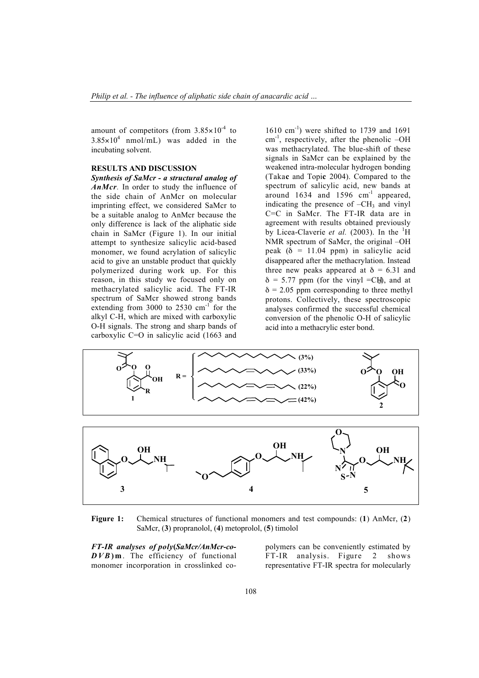amount of competitors (from  $3.85 \times 10^{-4}$  to  $3.85 \times 10^4$  nmol/mL) was added in the incubating solvent.

## RESULTS AND DISCUSSION

*Synthesis of SaMcr - a structural analog of AnMcr.* In order to study the influence of the side chain of AnMcr on molecular imprinting effect, we considered SaMcr to be a suitable analog to AnMcr because the only difference is lack of the aliphatic side chain in SaMcr (Figure 1). In our initial attempt to synthesize salicylic acid-based monomer, we found acrylation of salicylic acid to give an unstable product that quickly polymerized during work up. For this reason, in this study we focused only on methacrylated salicylic acid. The FT-IR spectrum of SaMcr showed strong bands extending from 3000 to  $2530 \text{ cm}^{-1}$  for the alkyl C-H, which are mixed with carboxylic O-H signals. The strong and sharp bands of carboxylic C=O in salicylic acid (1663 and

 $1610$  cm<sup>-1</sup>) were shifted to 1739 and 1691  $cm^{-1}$ , respectively, after the phenolic –OH was methacrylated. The blue-shift of these signals in SaMcr can be explained by the weakened intra-molecular hydrogen bonding (Takac and Topic 2004). Compared to the spectrum of salicylic acid, new bands at around  $1634$  and  $1596$   $cm^{-1}$  appeared, indicating the presence of  $-CH<sub>3</sub>$  and vinyl C=C in SaMcr. The FT-IR data are in agreement with results obtained previously by Licea-Claveríe et al. (2003). In the <sup>1</sup>H NMR spectrum of SaMcr, the original –OH peak ( $\delta$  = 11.04 ppm) in salicylic acid disappeared after the methacrylation. Instead three new peaks appeared at  $\delta = 6.31$  and  $\delta$  = 5.77 ppm (for the vinyl =CH), and at  $\delta$  = 2.05 ppm corresponding to three methyl protons. Collectively, these spectroscopic analyses confirmed the successful chemical conversion of the phenolic O-H of salicylic acid into a methacrylic ester bond.



Figure 1: Chemical structures of functional monomers and test compounds: (1) AnMcr, (2) SaMcr, (3) propranolol, (4) metoprolol, (5) timolol

*FT-IR analyses of poly*(*SaMcr/AnMcr-co-DVB*) m. The efficiency of functional monomer incorporation in crosslinked copolymers can be conveniently estimated by FT-IR analysis. Figure 2 shows representative FT-IR spectra for molecularly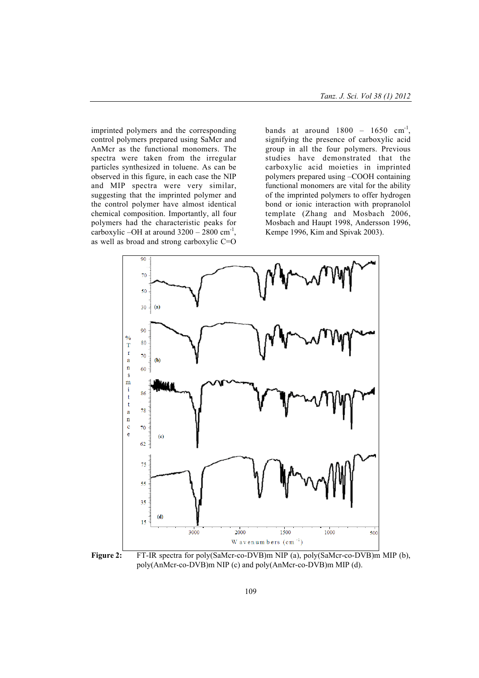imprinted polymers and the corresponding control polymers prepared using SaMcr and AnMcr as the functional monomers. The spectra were taken from the irregular particles synthesized in toluene. As can be observed in this figure, in each case the NIP and MIP spectra were very similar, suggesting that the imprinted polymer and the control polymer have almost identical chemical composition. Importantly, all four polymers had the characteristic peaks for carboxylic –OH at around  $3200 - 2800$  cm<sup>-1</sup>, as well as broad and strong carboxylic C=O

bands at around  $1800 - 1650$  cm<sup>-1</sup>. signifying the presence of carboxylic acid group in all the four polymers. Previous studies have demonstrated that the carboxylic acid moieties in imprinted polymers prepared using –COOH containing functional monomers are vital for the ability of the imprinted polymers to offer hydrogen bond or ionic interaction with propranolol template (Zhang and Mosbach 2006, Mosbach and Haupt 1998, Andersson 1996, Kempe 1996, Kim and Spivak 2003).



Figure 2: FT-IR spectra for poly(SaMcr-co-DVB)m NIP (a), poly(SaMcr-co-DVB)m MIP (b), poly(AnMcr-co-DVB)m NIP (c) and poly(AnMcr-co-DVB)m MIP (d).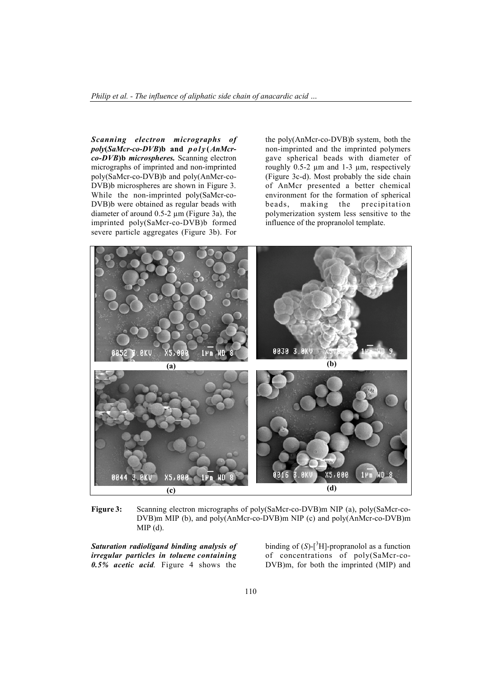*Scanning electron micrographs of poly*(*SaMcr-co-DVB*)b and *poly* (*AnMcrco-DVB*)b *microspheres.* Scanning electron micrographs of imprinted and non-imprinted poly(SaMcr-co-DVB)b and poly(AnMcr-co-DVB)b microspheres are shown in Figure 3. While the non-imprinted poly(SaMcr-co-DVB)b were obtained as regular beads with diameter of around  $0.5-2 \mu m$  (Figure 3a), the imprinted poly(SaMcr-co-DVB)b formed severe particle aggregates (Figure 3b). For

the poly(AnMcr-co-DVB)b system, both the non-imprinted and the imprinted polymers gave spherical beads with diameter of roughly 0.5-2  $\mu$ m and 1-3  $\mu$ m, respectively (Figure 3c-d). Most probably the side chain of AnMcr presented a better chemical environment for the formation of spherical beads, making the precipitation polymerization system less sensitive to the influence of the propranolol template.



Figure 3: Scanning electron micrographs of poly(SaMcr-co-DVB)m NIP (a), poly(SaMcr-co-DVB)m MIP (b), and poly(AnMcr-co-DVB)m NIP (c) and poly(AnMcr-co-DVB)m  $MIP(d)$ .

*Saturation radioligand binding analysis of irregular particles in toluene containing 0.5% acetic acid*. Figure 4 shows the

binding of  $(S)$ -[<sup>3</sup>H]-propranolol as a function of concentrations of poly(SaMcr-co-DVB)m, for both the imprinted (MIP) and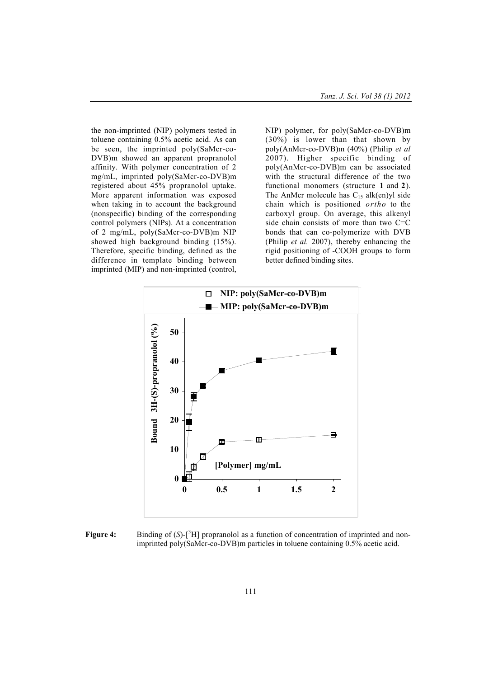the non-imprinted (NIP) polymers tested in toluene containing 0.5% acetic acid. As can be seen, the imprinted poly(SaMcr-co-DVB)m showed an apparent propranolol affinity. With polymer concentration of 2 mg/mL, imprinted poly(SaMcr-co-DVB)m registered about 45% propranolol uptake. More apparent information was exposed when taking in to account the background (nonspecific) binding of the corresponding control polymers (NIPs). At a concentration of 2 mg/mL, poly(SaMcr-co-DVB)m NIP showed high background binding (15%). Therefore, specific binding, defined as the difference in template binding between imprinted (MIP) and non-imprinted (control, NIP) polymer, for poly(SaMcr-co-DVB)m (30%) is lower than that shown by poly(AnMcr-co-DVB)m (40%) (Philip *et al* 2007). Higher specific binding of poly(AnMcr-co-DVB)m can be associated with the structural difference of the two functional monomers (structure 1 and 2). The AnMcr molecule has  $C_{15}$  alk(en)yl side chain which is positioned *ortho* to the carboxyl group. On average, this alkenyl side chain consists of more than two C=C bonds that can co-polymerize with DVB (Philip *et al.* 2007), thereby enhancing the rigid positioning of -COOH groups to form better defined binding sites.



Figure 4: Binding of  $(S)$ -[<sup>3</sup>H] propranolol as a function of concentration of imprinted and nonimprinted poly(SaMcr-co-DVB)m particles in toluene containing 0.5% acetic acid.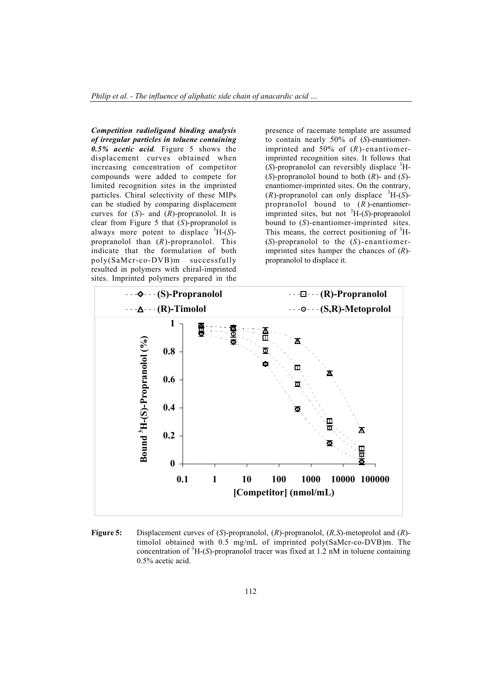*Competition radioligand binding analysis of irregular particles in toluene containing 0.5% acetic acid*. Figure 5 shows the displacement curves obtained when increasing concentration of competitor compounds were added to compete for limited recognition sites in the imprinted particles. Chiral selectivity of these MIPs can be studied by comparing displacement curves for (*S*)- and (*R*)-propranolol. It is clear from Figure 5 that (*S*)-propranolol is always more potent to displace  ${}^{3}H-(S)$ propranolol than (*R*)-propranolol. This indicate that the formulation of both poly(SaMcr-co-DVB)m successfully resulted in polymers with chiral-imprinted sites. Imprinted polymers prepared in the

presence of racemate template are assumed to contain nearly 50% of (*S*)-enantiomerimprinted and 50% of (*R*)-enantiomerimprinted recognition sites. It follows that  $(S)$ -propranolol can reversibly displace  ${}^{3}$ H-(*S*)-propranolol bound to both (*R*)- and (*S*) enantiomer-imprinted sites. On the contrary,  $(R)$ -propranolol can only displace  ${}^{3}H-(S)$ propranolol bound to (*R* )-enantiomerimprinted sites, but not  ${}^{3}H-(S)$ -propranolol bound to (*S*)-enantiomer-imprinted sites. This means, the correct positioning of  ${}^{3}H$ -(*S*)-propranolol to the (*S*)-enantiomerimprinted sites hamper the chances of (*R*) propranolol to displace it.



Figure 5: Displacement curves of (*S*)-propranolol, (*R*)-propranolol, (*R,S*)-metoprolol and (*R*) timolol obtained with 0.5 mg/mL of imprinted poly(SaMcr-co-DVB)m. The concentration of <sup>3</sup> H-(*S*)-propranolol tracer was fixed at 1.2 nM in toluene containing 0.5% acetic acid.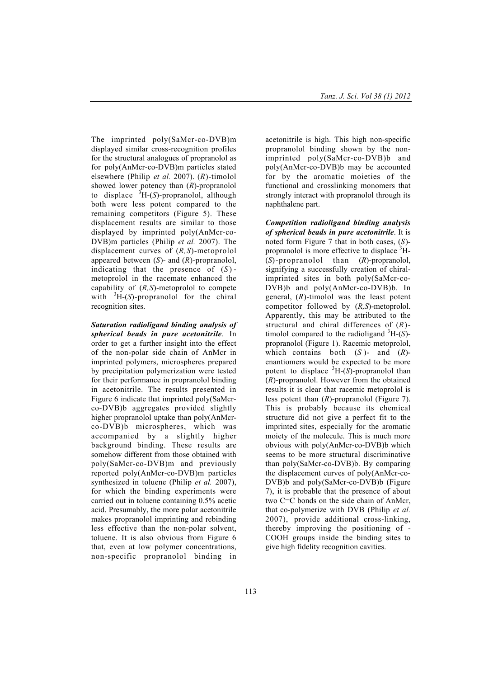The imprinted poly(SaMcr-co-DVB)m displayed similar cross-recognition profiles for the structural analogues of propranolol as for poly(AnMcr-co-DVB)m particles stated elsewhere (Philip *et al.* 2007). (*R*)-timolol showed lower potency than (*R*)-propranolol to displace  ${}^{3}H-(S)$ -propranolol, although both were less potent compared to the remaining competitors (Figure 5). These displacement results are similar to those displayed by imprinted poly(AnMcr-co-DVB)m particles (Philip *et al.* 2007). The displacement curves of (*R,S*)-metoprolol appeared between (*S*)- and (*R*)-propranolol, indicating that the presence of  $(S)$ metoprolol in the racemate enhanced the capability of (*R,S*)-metoprolol to compete with  ${}^{3}H-(S)$ -propranolol for the chiral recognition sites.

*Saturation radioligand binding analysis of spherical beads in pure acetonitrile*. In order to get a further insight into the effect of the non-polar side chain of AnMcr in imprinted polymers, microspheres prepared by precipitation polymerization were tested for their performance in propranolol binding in acetonitrile. The results presented in Figure 6 indicate that imprinted poly(SaMcrco-DVB)b aggregates provided slightly higher propranolol uptake than poly(AnMcrco-DVB)b microspheres, which was accompanied by a slightly higher background binding. These results are somehow different from those obtained with poly(SaMcr-co-DVB)m and previously reported poly(AnMcr-co-DVB)m particles synthesized in toluene (Philip *et al.* 2007), for which the binding experiments were carried out in toluene containing 0.5% acetic acid. Presumably, the more polar acetonitrile makes propranolol imprinting and rebinding less effective than the non-polar solvent, toluene. It is also obvious from Figure 6 that, even at low polymer concentrations, non-specific propranolol binding in

acetonitrile is high. This high non-specific propranolol binding shown by the nonimprinted poly(SaMcr-co-DVB)b and poly(AnMcr-co-DVB)b may be accounted for by the aromatic moieties of the functional and crosslinking monomers that strongly interact with propranolol through its naphthalene part.

*Competition radioligand binding analysis of spherical beads in pure acetonitrile*. It is noted form Figure 7 that in both cases, (*S*) propranolol is more effective to displace  ${}^{3}$ H-(*S*)-propranolol than (*R*)-propranolol, signifying a successfully creation of chiralimprinted sites in both poly(SaMcr-co-DVB)b and poly(AnMcr-co-DVB)b. In general, (*R*)-timolol was the least potent competitor followed by (*R,S*)-metoprolol. Apparently, this may be attributed to the structural and chiral differences of (*R*) timolol compared to the radioligand  ${}^{3}H-(S)$ propranolol (Figure 1). Racemic metoprolol, which contains both (*S* )- and (*R*) enantiomers would be expected to be more potent to displace  ${}^{3}H-(S)$ -propranolol than (*R*)-propranolol. However from the obtained results it is clear that racemic metoprolol is less potent than (*R*)-propranolol (Figure 7). This is probably because its chemical structure did not give a perfect fit to the imprinted sites, especially for the aromatic moiety of the molecule. This is much more obvious with poly(AnMcr-co-DVB)b which seems to be more structural discriminative than poly(SaMcr-co-DVB)b. By comparing the displacement curves of poly(AnMcr-co-DVB)b and poly(SaMcr-co-DVB)b (Figure 7), it is probable that the presence of about two C=C bonds on the side chain of AnMcr, that co-polymerize with DVB (Philip *et al.* 2007), provide additional cross-linking, thereby improving the positioning of - COOH groups inside the binding sites to give high fidelity recognition cavities.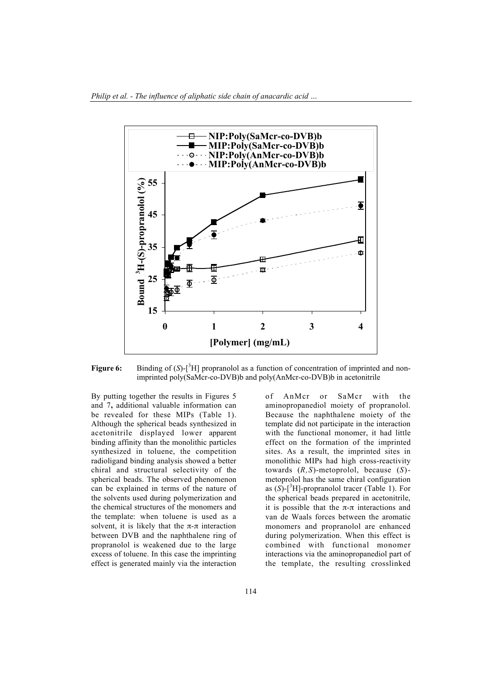

Figure 6: Binding of  $(S)$ -<sup>3</sup>H] propranolol as a function of concentration of imprinted and nonimprinted poly(SaMcr-co-DVB)b and poly(AnMcr-co-DVB)b in acetonitrile

By putting together the results in Figures 5 and 7, additional valuable information can be revealed for these MIPs (Table 1). Although the spherical beads synthesized in acetonitrile displayed lower apparent binding affinity than the monolithic particles synthesized in toluene, the competition radioligand binding analysis showed a better chiral and structural selectivity of the spherical beads. The observed phenomenon can be explained in terms of the nature of the solvents used during polymerization and the chemical structures of the monomers and the template: when toluene is used as a solvent, it is likely that the  $\pi$ - $\pi$  interaction between DVB and the naphthalene ring of propranolol is weakened due to the large excess of toluene. In this case the imprinting effect is generated mainly via the interaction

of AnMcr or SaMcr with the aminopropanediol moiety of propranolol. Because the naphthalene moiety of the template did not participate in the interaction with the functional monomer, it had little effect on the formation of the imprinted sites. As a result, the imprinted sites in monolithic MIPs had high cross-reactivity towards (*R,S*)-metoprolol, because (*S*) metoprolol has the same chiral configuration as  $(S)$ -[<sup>3</sup>H]-propranolol tracer (Table 1). For the spherical beads prepared in acetonitrile, it is possible that the  $\pi$ - $\pi$  interactions and van de Waals forces between the aromatic monomers and propranolol are enhanced during polymerization. When this effect is combined with functional monomer interactions via the aminopropanediol part of the template, the resulting crosslinked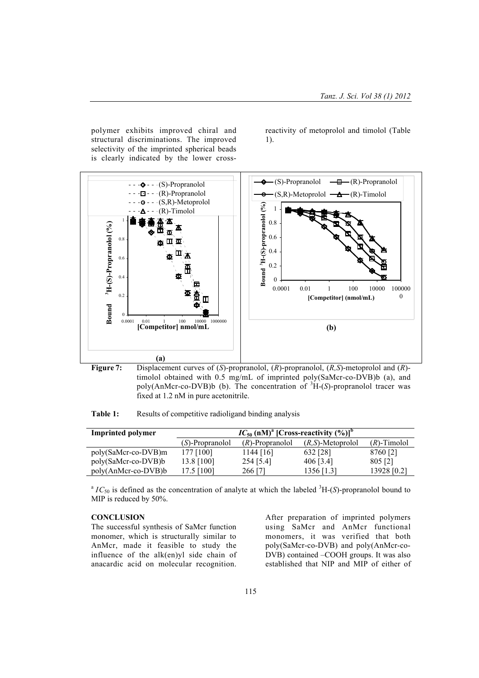polymer exhibits improved chiral and structural discriminations. The improved selectivity of the imprinted spherical beads is clearly indicated by the lower crossreactivity of metoprolol and timolol (Table 1).



Figure 7: Displacement curves of (*S*)-propranolol, (*R*)-propranolol, (*R,S*)-metoprolol and (*R*) timolol obtained with 0.5 mg/mL of imprinted poly(SaMcr-co-DVB)b (a), and poly(AnMcr-co-DVB)b (b). The concentration of  ${}^{3}H-(S)$ -propranolol tracer was fixed at 1.2 nM in pure acetonitrile.

Table 1: Results of competitive radioligand binding analysis

| <b>Imprinted polymer</b> | $IC_{50}$ (nM) <sup>a</sup> [Cross-reactivity $(\%)$ ] <sup>b</sup> |                    |                      |                |
|--------------------------|---------------------------------------------------------------------|--------------------|----------------------|----------------|
|                          | (S)-Propranolol                                                     | $(R)$ -Propranolol | $(R, S)$ -Metoprolol | $(R)$ -Timolol |
| poly(SaMcr-co-DVB)m      | 177 [100]                                                           | $1144$ [16]        | 632 [28]             | 8760 [2]       |
| poly(SaMcr-co-DVB)b      | 13.8 [100]                                                          | 254 [5.4]          | 406 [3.4]            | 805 [2]        |
| poly(AnMcr-co-DVB)b      | 17.5 [100]                                                          | 266 [7]            | 1356 [1.3]           | 13928 [0.2]    |

 ${}^aIC_{50}$  is defined as the concentration of analyte at which the labeled  ${}^3H$ -(*S*)-propranolol bound to MIP is reduced by 50%.

#### **CONCLUSION**

The successful synthesis of SaMcr function monomer, which is structurally similar to AnMcr, made it feasible to study the influence of the alk(en)yl side chain of anacardic acid on molecular recognition.

After preparation of imprinted polymers using SaMcr and AnMcr functional monomers, it was verified that both poly(SaMcr-co-DVB) and poly(AnMcr-co-DVB) contained –COOH groups. It was also established that NIP and MIP of either of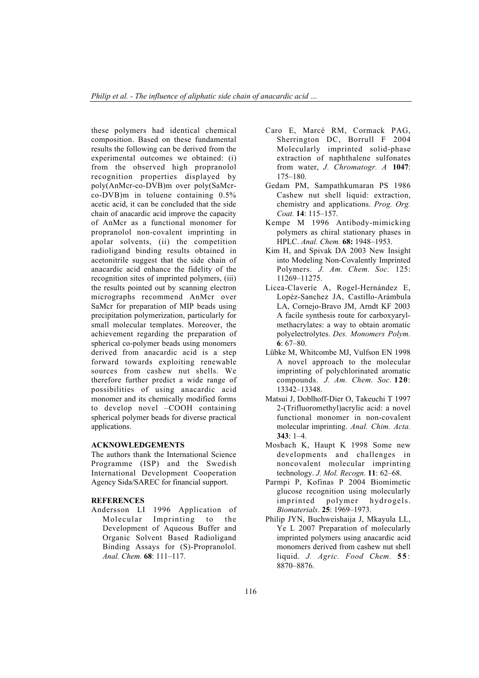these polymers had identical chemical composition. Based on these fundamental results the following can be derived from the experimental outcomes we obtained: (i) from the observed high propranolol recognition properties displayed by poly(AnMcr-co-DVB)m over poly(SaMcrco-DVB)m in toluene containing 0.5% acetic acid, it can be concluded that the side chain of anacardic acid improve the capacity of AnMcr as a functional monomer for propranolol non-covalent imprinting in apolar solvents, (ii) the competition radioligand binding results obtained in acetonitrile suggest that the side chain of anacardic acid enhance the fidelity of the recognition sites of imprinted polymers, (iii) the results pointed out by scanning electron micrographs recommend AnMcr over SaMcr for preparation of MIP beads using precipitation polymerization, particularly for small molecular templates. Moreover, the achievement regarding the preparation of spherical co-polymer beads using monomers derived from anacardic acid is a step forward towards exploiting renewable sources from cashew nut shells. We therefore further predict a wide range of possibilities of using anacardic acid monomer and its chemically modified forms to develop novel –COOH containing spherical polymer beads for diverse practical applications.

## ACKNOWLEDGEMENTS

The authors thank the International Science Programme (ISP) and the Swedish International Development Cooperation Agency Sida/SAREC for financial support.

#### **REFERENCES**

Andersson LI 1996 Application of Molecular Imprinting to the Development of Aqueous Buffer and Organic Solvent Based Radioligand Binding Assays for (S)-Propranolol. *Anal. Chem.* 68: 111–117.

- Caro E, Marcé RM, Cormack PAG, Sherrington DC, Borrull F 2004 Molecularly imprinted solid-phase extraction of naphthalene sulfonates from water, *J. Chromatogr. A* 1047: 175–180.
- Gedam PM, Sampathkumaran PS 1986 Cashew nut shell liquid: extraction, chemistry and applications. *Prog. Org. Coat.* 14: 115–157.
- Kempe M 1996 Antibody-mimicking polymers as chiral stationary phases in HPLC. *Anal. Chem.* 68: 1948–1953.
- Kim H, and Spivak DA 2003 New Insight into Modeling Non-Covalently Imprinted Polymers. *J. Am. Chem. Soc.* 125: 11269–11275.
- Licea-Claveríe A, Rogel-Hernández E, Lopéz-Sanchez JA, Castillo-Arámbula LA, Cornejo-Bravo JM, Arndt KF 2003 A facile synthesis route for carboxyarylmethacrylates: a way to obtain aromatic polyelectrolytes. *Des. Monomers Polym.* 6: 67–80.
- Lübke M, Whitcombe MJ, Vulfson EN 1998 A novel approach to the molecular imprinting of polychlorinated aromatic compounds. *J. Am. Chem. Soc.* 120: 13342–13348.
- Matsui J, Doblhoff-Dier O, Takeuchi T 1997 2-(Trifluoromethyl)acrylic acid: a novel functional monomer in non-covalent molecular imprinting. *Anal. Chim. Acta.* 343: 1–4.
- Mosbach K, Haupt K 1998 Some new developments and challenges in noncovalent molecular imprinting technology. *J. Mol. Recogn.* 11: 62–68.
- Parmpi P, Kofinas P 2004 Biomimetic glucose recognition using molecularly imprinted polymer hydrogels. *Biomaterials*. 25: 1969–1973.
- Philip JYN, Buchweishaija J, Mkayula LL, Ye L 2007 Preparation of molecularly imprinted polymers using anacardic acid monomers derived from cashew nut shell liquid. *J. Agric. Food Chem.* 55: 8870–8876.